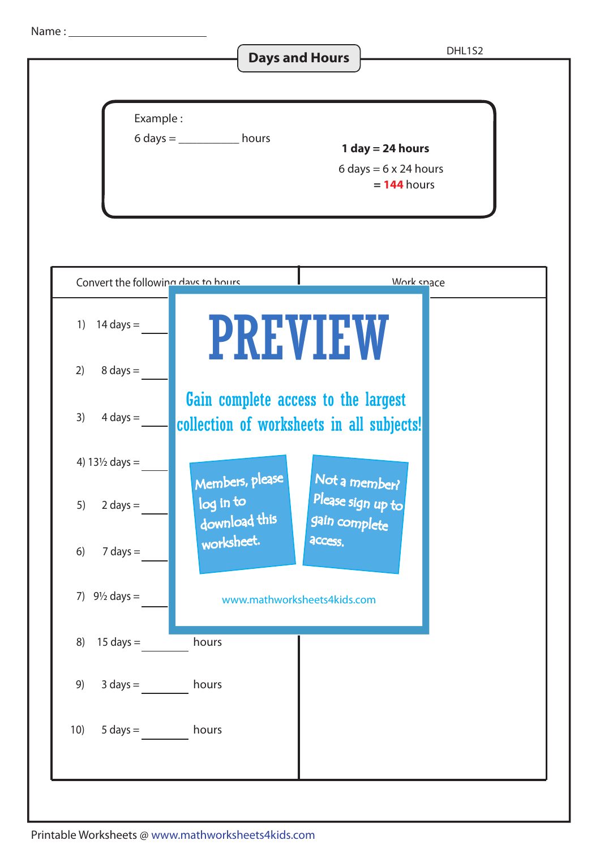Name :